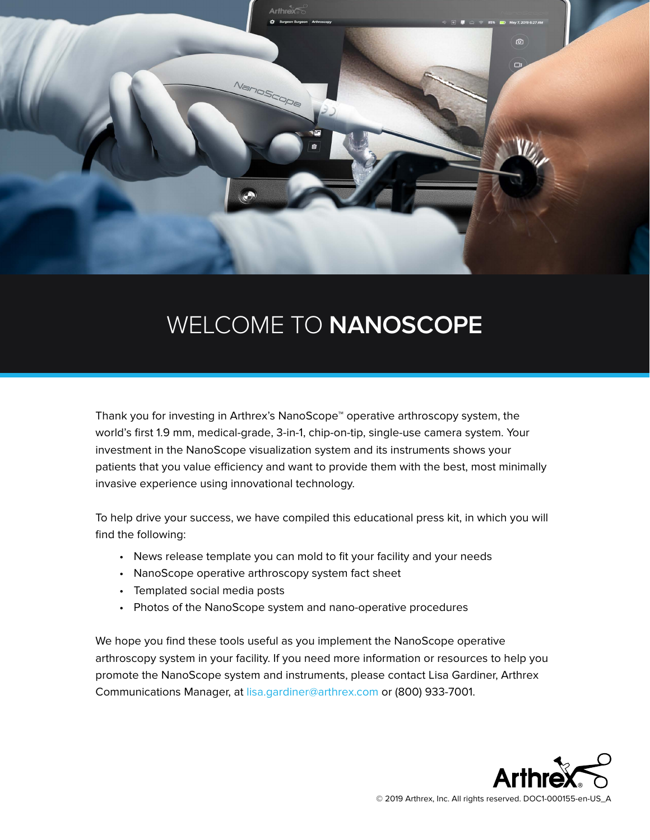

# WELCOME TO **NANOSCOPE**

Thank you for investing in Arthrex's NanoScope™ operative arthroscopy system, the world's first 1.9 mm, medical-grade, 3-in-1, chip-on-tip, single-use camera system. Your investment in the NanoScope visualization system and its instruments shows your patients that you value efficiency and want to provide them with the best, most minimally invasive experience using innovational technology.

To help drive your success, we have compiled this educational press kit, in which you will find the following:

- News release template you can mold to fit your facility and your needs
- NanoScope operative arthroscopy system fact sheet
- Templated social media posts
- Photos of the NanoScope system and nano-operative procedures

We hope you find these tools useful as you implement the NanoScope operative arthroscopy system in your facility. If you need more information or resources to help you promote the NanoScope system and instruments, please contact Lisa Gardiner, Arthrex Communications Manager, at l[isa.gardiner@arthrex.com](mailto:Lisa.Gardiner%40arthrex.com?subject=) or (800) 933-7001.

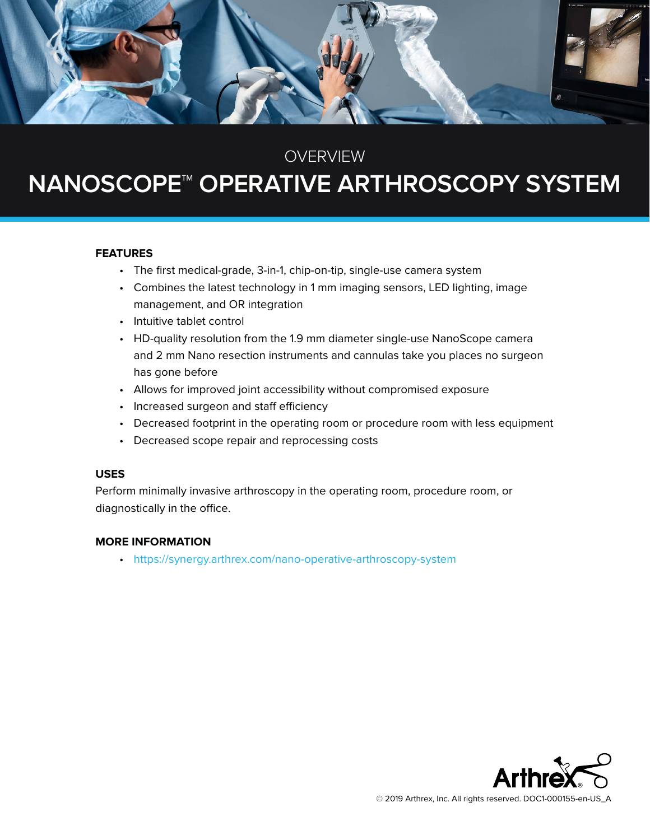

## **OVERVIEW**

## **NANOSCOPE™ OPERATIVE ARTHROSCOPY SYSTEM**

#### **FEATURES**

- The first medical-grade, 3-in-1, chip-on-tip, single-use camera system
- Combines the latest technology in 1 mm imaging sensors, LED lighting, image management, and OR integration
- Intuitive tablet control
- HD-quality resolution from the 1.9 mm diameter single-use NanoScope camera and 2 mm Nano resection instruments and cannulas take you places no surgeon has gone before
- Allows for improved joint accessibility without compromised exposure
- Increased surgeon and staff efficiency
- Decreased footprint in the operating room or procedure room with less equipment
- Decreased scope repair and reprocessing costs

#### **USES**

Perform minimally invasive arthroscopy in the operating room, procedure room, or diagnostically in the office.

## **MORE INFORMATION**

• <https://synergy.arthrex.com/nano-operative-arthroscopy-system>

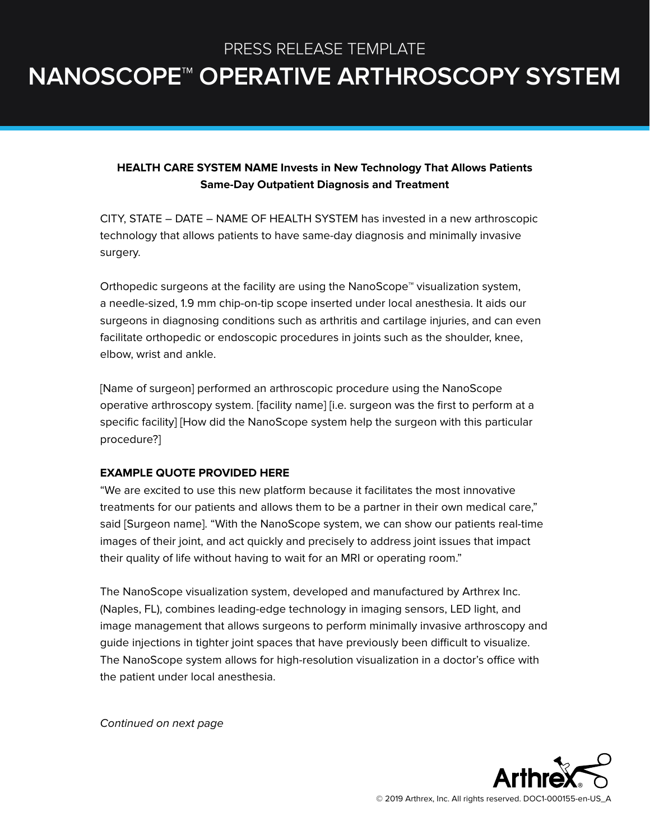## PRESS RELEASE TEMPLATE **NANOSCOPE™ OPERATIVE ARTHROSCOPY SYSTEM**

## **HEALTH CARE SYSTEM NAME Invests in New Technology That Allows Patients Same-Day Outpatient Diagnosis and Treatment**

CITY, STATE – DATE – NAME OF HEALTH SYSTEM has invested in a new arthroscopic technology that allows patients to have same-day diagnosis and minimally invasive surgery.

Orthopedic surgeons at the facility are using the NanoScope™ visualization system, a needle-sized, 1.9 mm chip-on-tip scope inserted under local anesthesia. It aids our surgeons in diagnosing conditions such as arthritis and cartilage injuries, and can even facilitate orthopedic or endoscopic procedures in joints such as the shoulder, knee, elbow, wrist and ankle.

[Name of surgeon] performed an arthroscopic procedure using the NanoScope operative arthroscopy system. [facility name] [i.e. surgeon was the first to perform at a specific facility] [How did the NanoScope system help the surgeon with this particular procedure?]

## **EXAMPLE QUOTE PROVIDED HERE**

"We are excited to use this new platform because it facilitates the most innovative treatments for our patients and allows them to be a partner in their own medical care," said [Surgeon name]. "With the NanoScope system, we can show our patients real-time images of their joint, and act quickly and precisely to address joint issues that impact their quality of life without having to wait for an MRI or operating room."

The NanoScope visualization system, developed and manufactured by Arthrex Inc. (Naples, FL), combines leading-edge technology in imaging sensors, LED light, and image management that allows surgeons to perform minimally invasive arthroscopy and guide injections in tighter joint spaces that have previously been difficult to visualize. The NanoScope system allows for high-resolution visualization in a doctor's office with the patient under local anesthesia.

Continued on next page

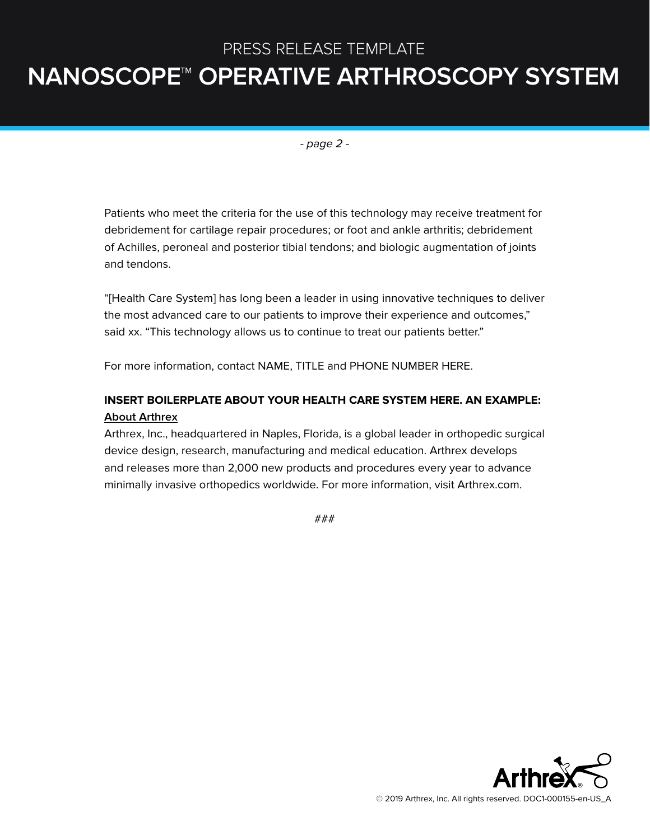## PRESS RELEASE TEMPLATE **NANOSCOPE™ OPERATIVE ARTHROSCOPY SYSTEM**

- page 2 -

Patients who meet the criteria for the use of this technology may receive treatment for debridement for cartilage repair procedures; or foot and ankle arthritis; debridement of Achilles, peroneal and posterior tibial tendons; and biologic augmentation of joints and tendons.

"[Health Care System] has long been a leader in using innovative techniques to deliver the most advanced care to our patients to improve their experience and outcomes," said xx. "This technology allows us to continue to treat our patients better."

For more information, contact NAME, TITLE and PHONE NUMBER HERE.

## **INSERT BOILERPLATE ABOUT YOUR HEALTH CARE SYSTEM HERE. AN EXAMPLE: About Arthrex**

Arthrex, Inc., headquartered in Naples, Florida, is a global leader in orthopedic surgical device design, research, manufacturing and medical education. Arthrex develops and releases more than 2,000 new products and procedures every year to advance minimally invasive orthopedics worldwide. For more information, visit Arthrex.com.

###

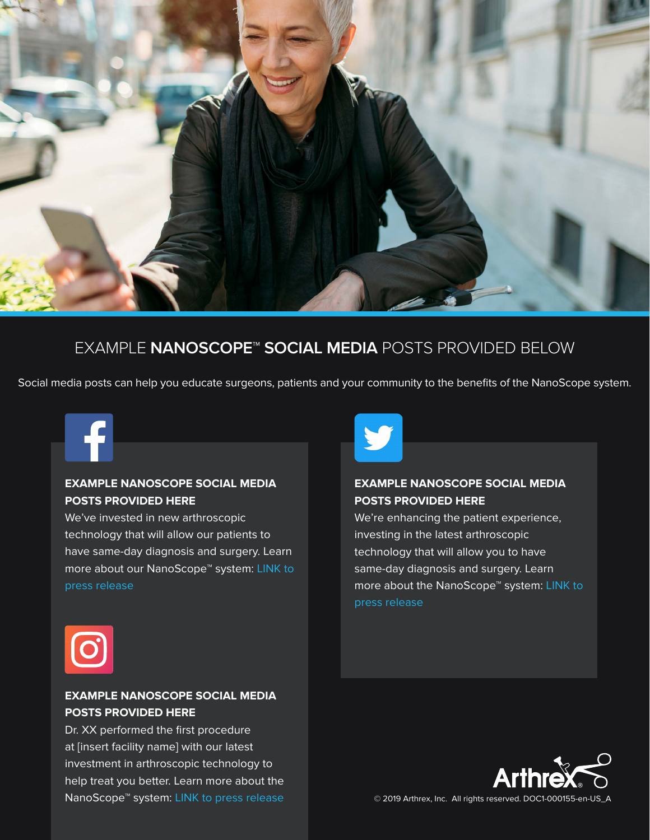

## EXAMPLE **NANOSCOPE™ SOCIAL MEDIA** POSTS PROVIDED BELOW

Social media posts can help you educate surgeons, patients and your community to the benefits of the NanoScope system.

## **EXAMPLE NANOSCOPE SOCIAL MEDIA POSTS PROVIDED HERE**

We've invested in new arthroscopic technology that will allow our patients to have same-day diagnosis and surgery. Learn more about our NanoScope™ system: [LINK to](https://www.facebook.com/Arthrex/) [press release](https://www.facebook.com/Arthrex/)



## **EXAMPLE NANOSCOPE SOCIAL MEDIA POSTS PROVIDED HERE**

We're enhancing the patient experience, investing in the latest arthroscopic technology that will allow you to have same-day diagnosis and surgery. Learn more about the NanoScope™ system: [LINK to](https://twitter.com/ArthrexMedEd)  [press release](https://twitter.com/ArthrexMedEd)



## **EXAMPLE NANOSCOPE SOCIAL MEDIA POSTS PROVIDED HERE**

Dr. XX performed the first procedure at [insert facility name] with our latest investment in arthroscopic technology to help treat you better. Learn more about the NanoScope™ system: [LINK to press release](https://www.instagram.com/arthrex_inc/?igshid=3yw8u4od5zg2)